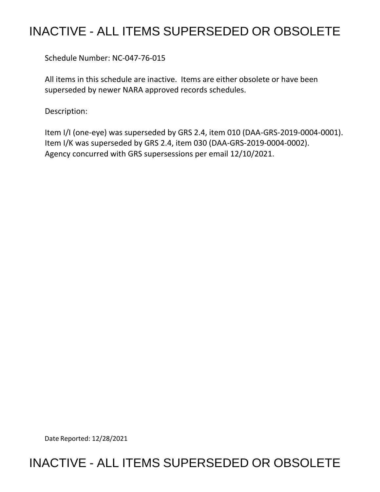## INACTIVE - ALL ITEMS SUPERSEDED OR OBSOLETE

Schedule Number: NC-047-76-015

All items in this schedule are inactive. Items are either obsolete or have been superseded by newer NARA approved records schedules.

Description:

Item I/I (one-eye) was superseded by GRS 2.4, item 010 (DAA-GRS-2019-0004-0001). Item I/K was superseded by GRS 2.4, item 030 (DAA-GRS-2019-0004-0002). Agency concurred with GRS supersessions per email 12/10/2021.

Date Reported: 12/28/2021

## INACTIVE - ALL ITEMS SUPERSEDED OR OBSOLETE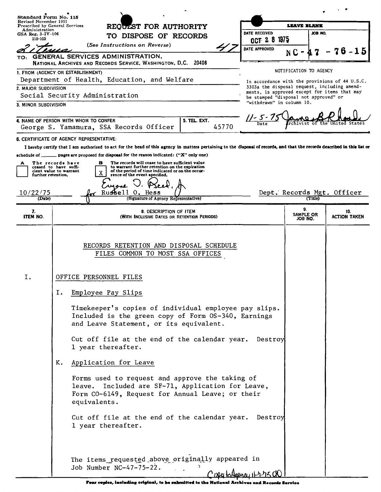| Standard Form No. 115                                   |                                                                                                                                                                                                                                                                              |                                |                                              |                                                |  |
|---------------------------------------------------------|------------------------------------------------------------------------------------------------------------------------------------------------------------------------------------------------------------------------------------------------------------------------------|--------------------------------|----------------------------------------------|------------------------------------------------|--|
| Revised November 1951<br>Prescribed by General Services | REQUEST FOR AUTHORITY                                                                                                                                                                                                                                                        | <b>LEAVE BLANK</b>             |                                              |                                                |  |
| Administration<br>GSA Reg. $3 - IV - 106$               | TO DISPOSE OF RECORDS                                                                                                                                                                                                                                                        | DATE RECEIVED                  |                                              | JOB NO.                                        |  |
| 115-103                                                 | (See Instructions on Reverse)                                                                                                                                                                                                                                                | OCT 2 8 1975                   |                                              |                                                |  |
| TO:                                                     | <b>GENERAL SERVICES ADMINISTRATION,</b>                                                                                                                                                                                                                                      | DATE APPROVED                  |                                              |                                                |  |
|                                                         | NATIONAL ARCHIVES AND RECORDS SERVICE, WASHINGTON, D.C. 20408                                                                                                                                                                                                                |                                |                                              |                                                |  |
|                                                         | 1. FROM (AGENCY OR ESTABLISHMENT)                                                                                                                                                                                                                                            |                                | NOTIFICATION TO AGENCY                       |                                                |  |
|                                                         | Department of Health, Education, and Welfare                                                                                                                                                                                                                                 |                                | 3303a the disposal request, including amend- | In accordance with the provisions of 44 U.S.C. |  |
| 2. MAJOR SUBDIVISION                                    | Social Security Administration                                                                                                                                                                                                                                               |                                | ments, is approved except for items that may |                                                |  |
| 3. MINOR SUBDIVISION                                    |                                                                                                                                                                                                                                                                              | "withdrawn" in column 10.      | be stamped "disposal not approved" or        |                                                |  |
|                                                         |                                                                                                                                                                                                                                                                              |                                |                                              |                                                |  |
|                                                         | 4. NAME OF PERSON WITH WHOM TO CONFER<br>5. TEL. EXT.                                                                                                                                                                                                                        |                                |                                              |                                                |  |
|                                                         | George S. Yamamura, SSA Records Officer<br>45770                                                                                                                                                                                                                             |                                |                                              |                                                |  |
|                                                         | 6. CERTIFICATE OF AGENCY REPRESENTATIVE:                                                                                                                                                                                                                                     |                                |                                              |                                                |  |
|                                                         | I hereby certify that I am authorized to act for the head of this agency in matters pertaining to the disposal of records, and that the records described in this list or<br>schedule of $\_\_\_\_$ pages are proposed for disposal for the reason indicated: ("X" only one) |                                |                                              |                                                |  |
|                                                         | The records will cease to have sufficient value<br>The records have<br>в                                                                                                                                                                                                     |                                |                                              |                                                |  |
| further retention.                                      | ceased to have suffi-<br>to warrant further retention on the expiration<br>of the period of time indicated or on the occur-<br>cient value to warrant<br>x<br>rence of the event specified.                                                                                  |                                |                                              |                                                |  |
|                                                         |                                                                                                                                                                                                                                                                              |                                |                                              |                                                |  |
| 10/22/75                                                | Russell<br><b>Hess</b>                                                                                                                                                                                                                                                       |                                | Dept. Records Mgt. Officer                   |                                                |  |
| (Date)                                                  | (Signature of Agency Representative)                                                                                                                                                                                                                                         |                                | (Title)                                      |                                                |  |
| 7.<br>ITEM NO.                                          | 8. DESCRIPTION OF ITEM<br>(WITH INCLUSIVE DATES OR RETENTION PERIODS)                                                                                                                                                                                                        |                                | 9.<br>SAMPLE OR<br>JOB NO.                   | 10.<br><b>ACTION TAKEN</b>                     |  |
|                                                         |                                                                                                                                                                                                                                                                              |                                |                                              |                                                |  |
|                                                         | RECORDS RETENTION AND DISPOSAL SCHEDULE<br>FILES COMMON TO MOST SSA OFFICES                                                                                                                                                                                                  |                                |                                              |                                                |  |
| Ι.                                                      | OFFICE PERSONNEL FILES                                                                                                                                                                                                                                                       |                                |                                              |                                                |  |
|                                                         | Ι.<br>Employee Pay Slips                                                                                                                                                                                                                                                     |                                |                                              |                                                |  |
|                                                         | Timekeeper's copies of individual employee pay slips.<br>Included is the green copy of Form OS-340, Earnings<br>and Leave Statement, or its equivalent.                                                                                                                      |                                |                                              |                                                |  |
|                                                         | Cut off file at the end of the calendar year.<br>1 year thereafter.                                                                                                                                                                                                          | Destroy                        |                                              |                                                |  |
|                                                         | K.<br>Application for Leave                                                                                                                                                                                                                                                  |                                |                                              |                                                |  |
|                                                         | Forms used to request and approve the taking of<br>leave. Included are SF-71, Application for Leave,<br>Form CO-6149, Request for Annual Leave; or their<br>equivalents.                                                                                                     |                                |                                              |                                                |  |
|                                                         | Cut off file at the end of the calendar year. Destroy<br>1 year thereafter.                                                                                                                                                                                                  |                                |                                              |                                                |  |
|                                                         | The items requested above originally appeared in<br>Job Number NC-47-75-22.                                                                                                                                                                                                  |                                |                                              |                                                |  |
|                                                         |                                                                                                                                                                                                                                                                              | CODU to Assence it h to TIK CO |                                              |                                                |  |